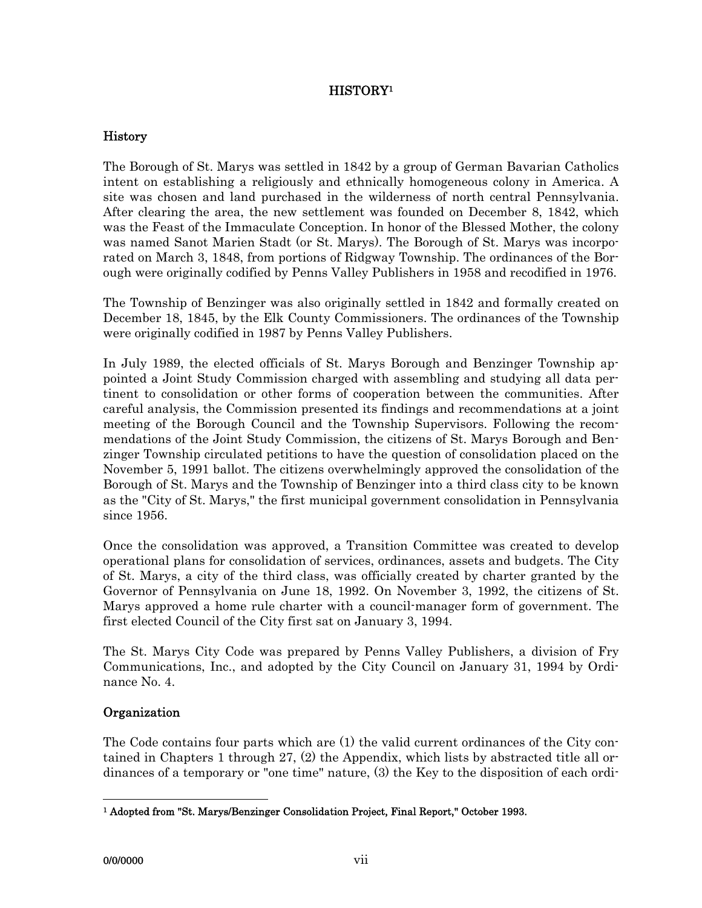# HISTORY<sup>1</sup>

## History

The Borough of St. Marys was settled in 1842 by a group of German Bavarian Catholics intent on establishing a religiously and ethnically homogeneous colony in America. A site was chosen and land purchased in the wilderness of north central Pennsylvania. After clearing the area, the new settlement was founded on December 8, 1842, which was the Feast of the Immaculate Conception. In honor of the Blessed Mother, the colony was named Sanot Marien Stadt (or St. Marys). The Borough of St. Marys was incorporated on March 3, 1848, from portions of Ridgway Township. The ordinances of the Borough were originally codified by Penns Valley Publishers in 1958 and recodified in 1976.

The Township of Benzinger was also originally settled in 1842 and formally created on December 18, 1845, by the Elk County Commissioners. The ordinances of the Township were originally codified in 1987 by Penns Valley Publishers.

In July 1989, the elected officials of St. Marys Borough and Benzinger Township appointed a Joint Study Commission charged with assembling and studying all data pertinent to consolidation or other forms of cooperation between the communities. After careful analysis, the Commission presented its findings and recommendations at a joint meeting of the Borough Council and the Township Supervisors. Following the recommendations of the Joint Study Commission, the citizens of St. Marys Borough and Benzinger Township circulated petitions to have the question of consolidation placed on the November 5, 1991 ballot. The citizens overwhelmingly approved the consolidation of the Borough of St. Marys and the Township of Benzinger into a third class city to be known as the "City of St. Marys," the first municipal government consolidation in Pennsylvania since 1956.

Once the consolidation was approved, a Transition Committee was created to develop operational plans for consolidation of services, ordinances, assets and budgets. The City of St. Marys, a city of the third class, was officially created by charter granted by the Governor of Pennsylvania on June 18, 1992. On November 3, 1992, the citizens of St. Marys approved a home rule charter with a council-manager form of government. The first elected Council of the City first sat on January 3, 1994.

The St. Marys City Code was prepared by Penns Valley Publishers, a division of Fry Communications, Inc., and adopted by the City Council on January 31, 1994 by Ordinance No. 4.

# Organization

The Code contains four parts which are (1) the valid current ordinances of the City contained in Chapters 1 through 27, (2) the Appendix, which lists by abstracted title all ordinances of a temporary or "one time" nature, (3) the Key to the disposition of each ordi-

 $\overline{a}$ 

<sup>1</sup> Adopted from "St. Marys/Benzinger Consolidation Project, Final Report," October 1993.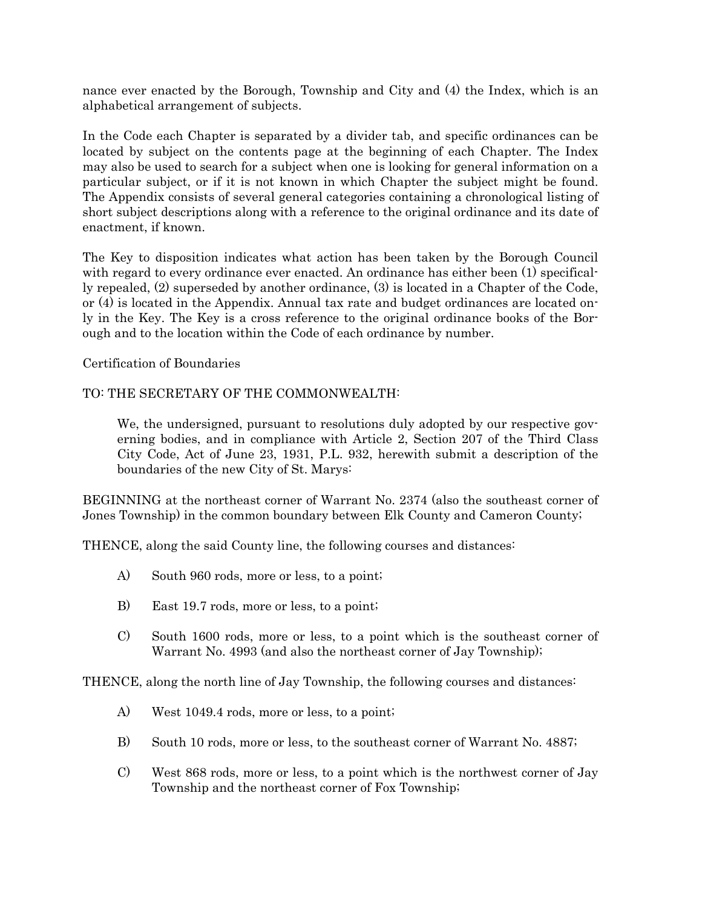nance ever enacted by the Borough, Township and City and (4) the Index, which is an alphabetical arrangement of subjects.

In the Code each Chapter is separated by a divider tab, and specific ordinances can be located by subject on the contents page at the beginning of each Chapter. The Index may also be used to search for a subject when one is looking for general information on a particular subject, or if it is not known in which Chapter the subject might be found. The Appendix consists of several general categories containing a chronological listing of short subject descriptions along with a reference to the original ordinance and its date of enactment, if known.

The Key to disposition indicates what action has been taken by the Borough Council with regard to every ordinance ever enacted. An ordinance has either been (1) specifically repealed, (2) superseded by another ordinance, (3) is located in a Chapter of the Code, or (4) is located in the Appendix. Annual tax rate and budget ordinances are located only in the Key. The Key is a cross reference to the original ordinance books of the Borough and to the location within the Code of each ordinance by number.

Certification of Boundaries

### TO: THE SECRETARY OF THE COMMONWEALTH:

We, the undersigned, pursuant to resolutions duly adopted by our respective governing bodies, and in compliance with Article 2, Section 207 of the Third Class City Code, Act of June 23, 1931, P.L. 932, herewith submit a description of the boundaries of the new City of St. Marys:

BEGINNING at the northeast corner of Warrant No. 2374 (also the southeast corner of Jones Township) in the common boundary between Elk County and Cameron County;

THENCE, along the said County line, the following courses and distances:

- A) South 960 rods, more or less, to a point;
- B) East 19.7 rods, more or less, to a point;
- C) South 1600 rods, more or less, to a point which is the southeast corner of Warrant No. 4993 (and also the northeast corner of Jay Township);

THENCE, along the north line of Jay Township, the following courses and distances:

- A) West 1049.4 rods, more or less, to a point;
- B) South 10 rods, more or less, to the southeast corner of Warrant No. 4887;
- C) West 868 rods, more or less, to a point which is the northwest corner of Jay Township and the northeast corner of Fox Township;